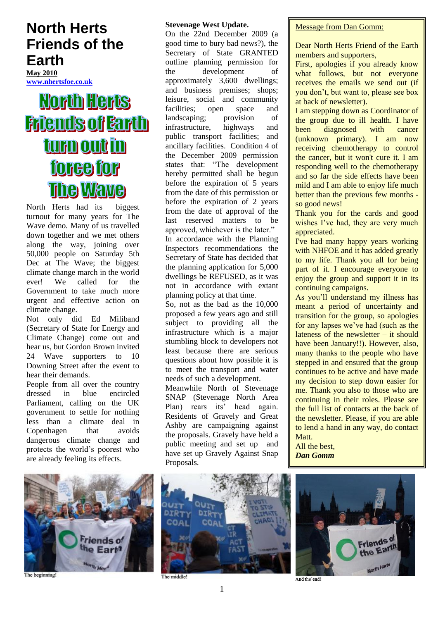# **North Herts Friends of the Earth**

**May 2010 [www.nhertsfoe.co.uk](http://www.nhertsfoe.co.uk/)**

# **North Herts Friend's of Earth turn out in force for The Waye**

North Herts had its biggest turnout for many years for The Wave demo. Many of us travelled down together and we met others along the way, joining over 50,000 people on Saturday 5th Dec at The Wave; the biggest climate change march in the world ever! We called for the Government to take much more urgent and effective action on climate change.

Not only did Ed Miliband (Secretary of State for Energy and Climate Change) come out and hear us, but Gordon Brown invited 24 Wave supporters to 10 Downing Street after the event to hear their demands.

People from all over the country dressed in blue encircled Parliament, calling on the UK government to settle for nothing less than a climate deal in Copenhagen that avoids dangerous climate change and protects the world's poorest who are already feeling its effects.



The beginning!

# **Stevenage West Update.**

On the 22nd December 2009 (a good time to bury bad news?), the Secretary of State GRANTED outline planning permission for the development of approximately 3,600 dwellings; and business premises; shops; leisure, social and community facilities; open space and landscaping; provision of infrastructure, highways and public transport facilities; and ancillary facilities. Condition 4 of the December 2009 permission states that: "The development hereby permitted shall be begun before the expiration of 5 years from the date of this permission or before the expiration of 2 years from the date of approval of the last reserved matters to be approved, whichever is the later." In accordance with the Planning Inspectors recommendations the Secretary of State has decided that the planning application for 5,000 dwellings be REFUSED, as it was not in accordance with extant planning policy at that time.

So, not as the bad as the 10,000 proposed a few years ago and still subject to providing all the infrastructure which is a major stumbling block to developers not least because there are serious questions about how possible it is to meet the transport and water needs of such a development.

Meanwhile North of Stevenage SNAP (Stevenage North Area Plan) rears its' head again. Residents of Gravely and Great Ashby are campaigning against the proposals. Gravely have held a public meeting and set up and have set up Gravely Against Snap Proposals.

#### Message from Dan Gomm:

Dear North Herts Friend of the Earth members and supporters,

First, apologies if you already know what follows, but not everyone receives the emails we send out (if you don't, but want to, please see box at back of newsletter).

I am stepping down as Coordinator of the group due to ill health. I have<br>been diagnosed with cancer been diagnosed with cancer (unknown primary). I am now receiving chemotherapy to control the cancer, but it won't cure it. I am responding well to the chemotherapy and so far the side effects have been mild and I am able to enjoy life much better than the previous few months so good news!

Thank you for the cards and good wishes I've had, they are very much appreciated.

I've had many happy years working with NHFOE and it has added greatly to my life. Thank you all for being part of it. I encourage everyone to enjoy the group and support it in its continuing campaigns.

As you'll understand my illness has meant a period of uncertainty and transition for the group, so apologies for any lapses we've had (such as the lateness of the newsletter – it should have been January!!). However, also, many thanks to the people who have stepped in and ensured that the group continues to be active and have made my decision to step down easier for me. Thank you also to those who are continuing in their roles. Please see the full list of contacts at the back of the newsletter. Please, if you are able to lend a hand in any way, do contact **Matt** 

Friends of

the Earth

North Herts

All the best, *Dan Gomm*



And the'end

1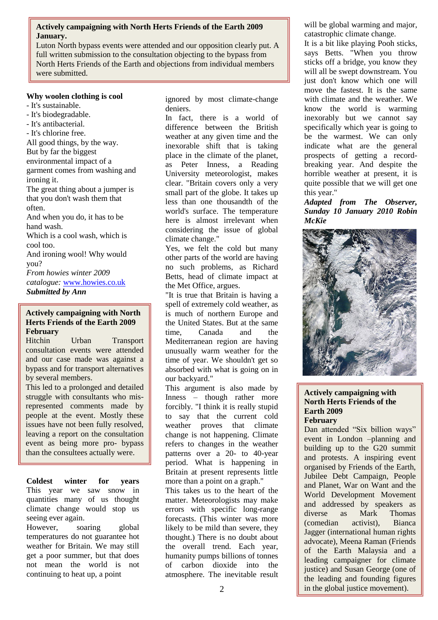#### **Actively campaigning with North Herts Friends of the Earth 2009 January.**

Luton North bypass events were attended and our opposition clearly put. A full written submission to the consultation objecting to the bypass from North Herts Friends of the Earth and objections from individual members were submitted.

#### **Why woolen clothing is cool**

- It's sustainable.

- It's biodegradable.
- It's antibacterial.
- It's chlorine free.

All good things, by the way. But by far the biggest environmental impact of a

garment comes from washing and ironing it.

The great thing about a jumper is that you don't wash them that often.

And when you do, it has to be hand wash.

Which is a cool wash, which is cool too.

And ironing wool! Why would you?

*From howies winter 2009 catalogue:* [www.howies.co.uk](http://www.howies.co.uk/) *Submitted by Ann*

# **Actively campaigning with North Herts Friends of the Earth 2009 February**

Hitchin Urban Transport consultation events were attended and our case made was against a bypass and for transport alternatives by several members.

This led to a prolonged and detailed struggle with consultants who misrepresented comments made by people at the event. Mostly these issues have not been fully resolved, leaving a report on the consultation event as being more pro- bypass than the consultees actually were.

**Coldest winter for years** This year we saw snow in quantities many of us thought climate change would stop us seeing ever again.

However, soaring global temperatures do not guarantee hot weather for Britain. We may still get a poor summer, but that does not mean the world is not continuing to heat up, a point

ignored by most climate-change deniers.

In fact, there is a world of difference between the British weather at any given time and the inexorable shift that is taking place in the climate of the planet, as Peter Inness, a Reading University meteorologist, makes clear. "Britain covers only a very small part of the globe. It takes up less than one thousandth of the world's surface. The temperature here is almost irrelevant when considering the issue of global climate change."

Yes, we felt the cold but many other parts of the world are having no such problems, as Richard Betts, head of climate impact at the Met Office, argues.

"It is true that Britain is having a spell of extremely cold weather, as is much of northern Europe and the United States. But at the same time, Canada and the Mediterranean region are having unusually warm weather for the time of year. We shouldn't get so absorbed with what is going on in our backyard."

This argument is also made by Inness – though rather more forcibly. "I think it is really stupid to say that the current cold weather proves that climate change is not happening. Climate refers to changes in the weather patterns over a 20- to 40-year period. What is happening in Britain at present represents little more than a point on a graph."

This takes us to the heart of the matter. Meteorologists may make errors with specific long-range forecasts. (This winter was more likely to be mild than severe, they thought.) There is no doubt about the overall trend. Each year, humanity pumps billions of tonnes of carbon dioxide into the atmosphere. The inevitable result will be global warming and major, catastrophic climate change.

It is a bit like playing Pooh sticks, says Betts. "When you throw sticks off a bridge, you know they will all be swept downstream. You just don't know which one will move the fastest. It is the same with climate and the weather. We know the world is warming inexorably but we cannot say specifically which year is going to be the warmest. We can only indicate what are the general prospects of getting a recordbreaking year. And despite the horrible weather at present, it is quite possible that we will get one this year."

*Adapted from The Observer, Sunday 10 January 2010 Robin McKie*



#### **Actively campaigning with North Herts Friends of the Earth 2009 February**

Dan attended "Six billion ways" event in London –planning and building up to the G20 summit and protests. A inspiring event organised by Friends of the Earth, Jubilee Debt Campaign, People and Planet, War on Want and the World Development Movement and addressed by speakers as diverse as Mark Thomas (comedian activist), Bianca Jagger (international human rights advocate), Meena Raman (Friends of the Earth Malaysia and a leading campaigner for climate justice) and Susan George (one of the leading and founding figures in the global justice movement).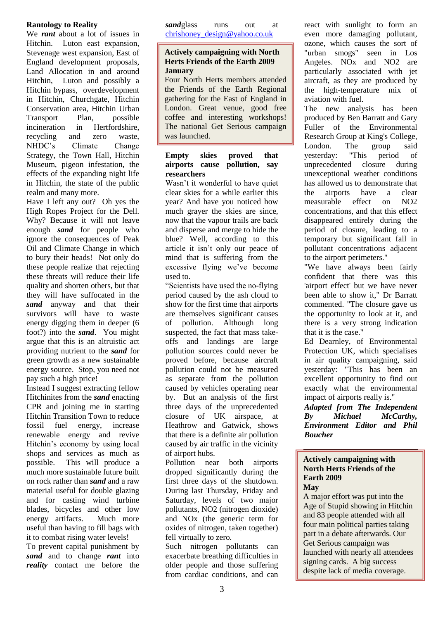# **Rantology to Reality**

We *rant* about a lot of issues in Hitchin. Luton east expansion, Stevenage west expansion, East of England development proposals, Land Allocation in and around Hitchin, Luton and possibly a Hitchin bypass, overdevelopment in Hitchin, Churchgate, Hitchin Conservation area, Hitchin Urban Transport Plan, possible incineration in Hertfordshire, recycling and zero waste, NHDC's Climate Change Strategy, the Town Hall, Hitchin Museum, pigeon infestation, the effects of the expanding night life in Hitchin, the state of the public realm and many more.

Have I left any out? Oh yes the High Ropes Project for the Dell. Why? Because it will not leave enough *sand* for people who ignore the consequences of Peak Oil and Climate Change in which to bury their heads! Not only do these people realize that rejecting these threats will reduce their life quality and shorten others, but that they will have suffocated in the *sand* anyway and that their survivors will have to waste energy digging them in deeper (6 foot?) into the *sand*. You might argue that this is an altruistic act providing nutrient to the *sand* for green growth as a new sustainable energy source. Stop, you need not pay such a high price!

Instead I suggest extracting fellow Hitchinites from the *sand* enacting CPR and joining me in starting Hitchin Transition Town to reduce fossil fuel energy, increase renewable energy and revive Hitchin's economy by using local shops and services as much as possible. This will produce a much more sustainable future built on rock rather than *sand* and a raw material useful for double glazing and for casting wind turbine blades, bicycles and other low energy artifacts. Much more useful than having to fill bags with it to combat rising water levels!

To prevent capital punishment by *sand* and to change *rant* into *reality* contact me before the

| sandglass | runs                          | OUT | at |
|-----------|-------------------------------|-----|----|
|           | chrishoney design@yahoo.co.uk |     |    |

# **Actively campaigning with North Herts Friends of the Earth 2009 January**

Four North Herts members attended the Friends of the Earth Regional gathering for the East of England in London. Great venue, good free coffee and interesting workshops! The national Get Serious campaign was launched.

# **Empty skies proved that airports cause pollution, say researchers**

Wasn't it wonderful to have quiet clear skies for a while earlier this year? And have you noticed how much grayer the skies are since, now that the vapour trails are back and disperse and merge to hide the blue? Well, according to this article it isn't only our peace of mind that is suffering from the excessive flying we've become used to.

"Scientists have used the no-flying period caused by the ash cloud to show for the first time that airports are themselves significant causes of pollution. Although long suspected, the fact that mass takeoffs and landings are large pollution sources could never be proved before, because aircraft pollution could not be measured as separate from the pollution caused by vehicles operating near by. But an analysis of the first three days of the unprecedented closure of UK airspace, at Heathrow and Gatwick, shows that there is a definite air pollution caused by air traffic in the vicinity of airport hubs.

Pollution near both airports dropped significantly during the first three days of the shutdown. During last Thursday, Friday and Saturday, levels of two major pollutants, NO2 (nitrogen dioxide) and NOx (the generic term for oxides of nitrogen, taken together) fell virtually to zero.

Such nitrogen pollutants can exacerbate breathing difficulties in older people and those suffering from cardiac conditions, and can react with sunlight to form an even more damaging pollutant, ozone, which causes the sort of "urban smogs" seen in Los Angeles. NOx and NO2 are particularly associated with jet aircraft, as they are produced by the high-temperature mix of aviation with fuel.

The new analysis has been produced by Ben Barratt and Gary Fuller of the Environmental Research Group at King's College, London. The group said yesterday: "This period of unprecedented closure during unexceptional weather conditions has allowed us to demonstrate that the airports have a clear measurable effect on NO2 concentrations, and that this effect disappeared entirely during the period of closure, leading to a temporary but significant fall in pollutant concentrations adjacent to the airport perimeters."

"We have always been fairly confident that there was this 'airport effect' but we have never been able to show it," Dr Barratt commented. "The closure gave us the opportunity to look at it, and there is a very strong indication that it is the case."

Ed Dearnley, of Environmental Protection UK, which specialises in air quality campaigning, said yesterday: "This has been an excellent opportunity to find out exactly what the environmental impact of airports really is."

*Adapted from The Independent By Michael McCarthy, Environment Editor and Phil Boucher*

#### **Actively campaigning with North Herts Friends of the Earth 2009 May**

A major effort was put into the Age of Stupid showing in Hitchin and 83 people attended with all four main political parties taking part in a debate afterwards. Our Get Serious campaign was launched with nearly all attendees signing cards. A big success despite lack of media coverage.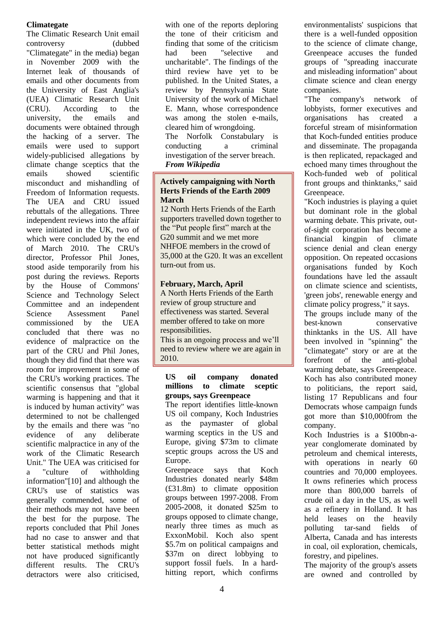# **Climategate**

The Climatic Research Unit email controversy (dubbed "Climategate" in the media) began in November 2009 with the Internet leak of thousands of emails and other documents from the University of East Anglia's (UEA) Climatic Research Unit (CRU). According to the university, the emails and documents were obtained through the hacking of a server. The emails were used to support widely-publicised allegations by climate change sceptics that the emails showed scientific misconduct and mishandling of Freedom of Information requests. The UEA and CRU issued rebuttals of the allegations. Three independent reviews into the affair were initiated in the UK, two of which were concluded by the end of March 2010. The CRU's director, Professor Phil Jones, stood aside temporarily from his post during the reviews. Reports by the House of Commons' Science and Technology Select Committee and an independent Science Assessment Panel commissioned by the UEA concluded that there was no evidence of malpractice on the part of the CRU and Phil Jones, though they did find that there was room for improvement in some of the CRU's working practices. The scientific consensus that "global warming is happening and that it is induced by human activity" was determined to not be challenged by the emails and there was "no evidence of any deliberate scientific malpractice in any of the work of the Climatic Research Unit." The UEA was criticised for a "culture of withholding information"[10] and although the CRU's use of statistics was generally commended, some of their methods may not have been the best for the purpose. The reports concluded that Phil Jones had no case to answer and that better statistical methods might not have produced significantly different results. The CRU's detractors were also criticised.

with one of the reports deploring the tone of their criticism and finding that some of the criticism had been "selective and uncharitable". The findings of the third review have yet to be published. In the United States, a review by Pennsylvania State University of the work of Michael E. Mann, whose correspondence was among the stolen e-mails, cleared him of wrongdoing. The Norfolk Constabulary is conducting a criminal investigation of the server breach. *From Wikipedia*

#### Actively campaigning with North **Herts Friends of the Earth 2009 March**

12 North Herts Friends of the Earth supporters travelled down together to the "Put people first" march at the G20 summit and we met more NHFOE members in the crowd of 35,000 at the G20. It was an excellent turn-out from us.

# **February, March, April**

A North Herts Friends of the Earth review of group structure and effectiveness was started. Several member offered to take on more responsibilities.

This is an ongoing process and we'll need to review where we are again in 2010.

# **US oil company donated millions to climate sceptic groups, says Greenpeace**

The report identifies little-known US oil company, Koch Industries as the paymaster of global warming sceptics in the US and Europe, giving \$73m to climate sceptic groups across the US and Europe.

Greenpeace says that Koch Industries donated nearly \$48m (£31.8m) to climate opposition groups between 1997-2008. From 2005-2008, it donated \$25m to groups opposed to climate change, nearly three times as much as ExxonMobil. Koch also spent \$5.7m on political campaigns and \$37m on direct lobbying to support fossil fuels. In a hardhitting report, which confirms

environmentalists' suspicions that there is a well-funded opposition to the science of climate change, Greenpeace accuses the funded groups of "spreading inaccurate and misleading information" about climate science and clean energy companies.

"The company's network of lobbyists, former executives and organisations has created a forceful stream of misinformation that Koch-funded entities produce and disseminate. The propaganda is then replicated, repackaged and echoed many times throughout the Koch-funded web of political front groups and thinktanks," said Greenpeace.

"Koch industries is playing a quiet but dominant role in the global warming debate. This private, outof-sight corporation has become a financial kingpin of climate science denial and clean energy opposition. On repeated occasions organisations funded by Koch foundations have led the assault on climate science and scientists, 'green jobs', renewable energy and climate policy progress," it says.

The groups include many of the best-known conservative thinktanks in the US. All have been involved in "spinning" the "climategate" story or are at the forefront of the anti-global warming debate, says Greenpeace. Koch has also contributed money to politicians, the report said, listing 17 Republicans and four Democrats whose campaign funds got more than \$10,000from the company.

Koch Industries is a \$100bn-ayear conglomerate dominated by petroleum and chemical interests, with operations in nearly 60 countries and 70,000 employees. It owns refineries which process more than 800,000 barrels of crude oil a day in the US, as well as a refinery in Holland. It has held leases on the heavily polluting tar-sand fields of Alberta, Canada and has interests in coal, oil exploration, chemicals, forestry, and pipelines.

The majority of the group's assets are owned and controlled by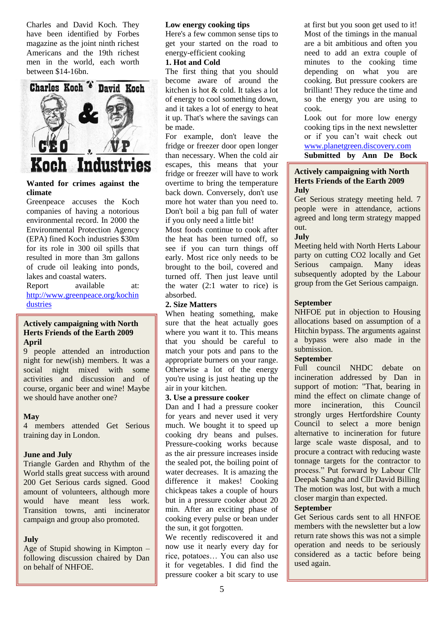Charles and David Koch. They have been identified by Forbes magazine as the joint ninth richest Americans and the 19th richest men in the world, each worth between \$14-16bn.



# **Wanted for crimes against the climate**

Greenpeace accuses the Koch companies of having a notorious environmental record. In 2000 the Environmental Protection Agency (EPA) fined Koch industries \$30m for its role in 300 oil spills that resulted in more than 3m gallons of crude oil leaking into ponds, lakes and coastal waters.

Report available at: [http://www.greenpeace.org/kochin](http://www.greenpeace.org/kochindustries) [dustries](http://www.greenpeace.org/kochindustries)

#### **Actively campaigning with North Herts Friends of the Earth 2009 April**

9 people attended an introduction night for new(ish) members. It was a social night mixed with some activities and discussion and of course, organic beer and wine! Maybe we should have another one?

#### **May**

4 members attended Get Serious **Earth State State State State State State State State State State State State State State State State State State State State State State State State State State State State State State State State State State State State** 

#### **June and July**

Triangle Garden and Rhythm of the World stalls great success with around 200 Get Serious cards signed. Good amount of volunteers, although more would have meant less work. Transition towns, anti incinerator campaign and group also promoted.

# **July**

Age of Stupid showing in Kimpton – following discussion chaired by Dan on behalf of NHFOE.

# **Low energy cooking tips**

Here's a few common sense tips to get your started on the road to energy-efficient cooking

# **1. Hot and Cold**

The first thing that you should become aware of around the kitchen is hot & cold. It takes a lot of energy to cool something down, and it takes a lot of energy to heat it up. That's where the savings can be made.

For example, don't leave the fridge or freezer door open longer than necessary. When the cold air escapes, this means that your fridge or freezer will have to work overtime to bring the temperature back down. Conversely, don't use more hot water than you need to. Don't boil a big pan full of water if you only need a little bit!

Most foods continue to cook after the heat has been turned off, so see if you can turn things off early. Most rice only needs to be brought to the boil, covered and turned off. Then just leave until the water (2:1 water to rice) is absorbed.

# **2. Size Matters**

When heating something, make sure that the heat actually goes where you want it to. This means that you should be careful to match your pots and pans to the appropriate burners on your range. Otherwise a lot of the energy you're using is just heating up the air in your kitchen.

# **3. Use a pressure cooker**

Dan and I had a pressure cooker for years and never used it very much. We bought it to speed up cooking dry beans and pulses. Pressure-cooking works because as the air pressure increases inside the sealed pot, the boiling point of water decreases. It is amazing the difference it makes! Cooking chickpeas takes a couple of hours but in a pressure cooker about 20 min. After an exciting phase of cooking every pulse or bean under the sun, it got forgotten.

We recently rediscovered it and now use it nearly every day for rice, potatoes… You can also use it for vegetables. I did find the pressure cooker a bit scary to use at first but you soon get used to it! Most of the timings in the manual are a bit ambitious and often you need to add an extra couple of minutes to the cooking time depending on what you are cooking. But pressure cookers are brilliant! They reduce the time and so the energy you are using to cook.

Look out for more low energy cooking tips in the next newsletter or if you can't wait check out [www.planetgreen.discovery.com](http://www.planetgreen.discovery.com/) **Submitted by Ann De Bock**

#### **Actively campaigning with North Herts Friends of the Earth 2009 July**

Get Serious strategy meeting held. 7 people were in attendance, actions agreed and long term strategy mapped out.

# **July**

Meeting held with North Herts Labour party on cutting CO2 locally and Get Serious campaign. Many ideas subsequently adopted by the Labour group from the Get Serious campaign.

# **September**

NHFOE put in objection to Housing allocations based on assumption of a Hitchin bypass. The arguments against a bypass were also made in the submission.

# **September**

Full council NHDC debate on incineration addressed by Dan in support of motion: "That, bearing in mind the effect on climate change of more incineration, this Council strongly urges Hertfordshire County Council to select a more benign alternative to incineration for future large scale waste disposal, and to procure a contract with reducing waste tonnage targets for the contractor to process." Put forward by Labour Cllr Deepak Sangha and Cllr David Billing The motion was lost, but with a much closer margin than expected.

# **September**

Get Serious cards sent to all HNFOE members with the newsletter but a low return rate shows this was not a simple operation and needs to be seriously considered as a tactic before being used again.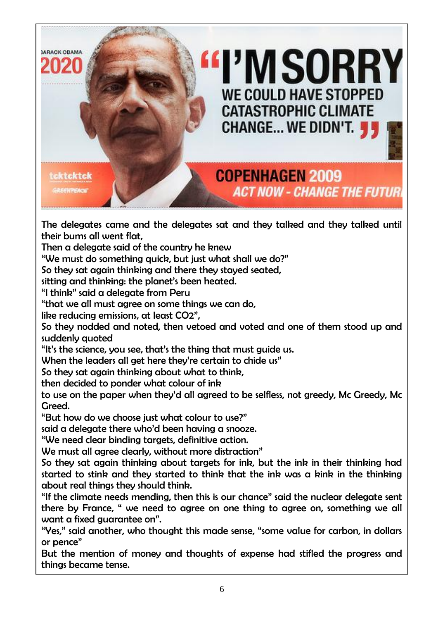

The delegates came and the delegates sat and they talked and they talked until their bums all went flat,

Then a delegate said of the country he knew

"We must do something quick, but just what shall we do?"

So they sat again thinking and there they stayed seated,

sitting and thinking: the planet's been heated.

"I think" said a delegate from Peru

"that we all must agree on some things we can do,

like reducing emissions, at least CO2",

So they nodded and noted, then vetoed and voted and one of them stood up and suddenly quoted

"It's the science, you see, that's the thing that must guide us.

When the leaders all get here they're certain to chide us"

So they sat again thinking about what to think,

then decided to ponder what colour of ink

to use on the paper when they'd all agreed to be selfless, not greedy, Mc Greedy, Mc Greed.

"But how do we choose just what colour to use?"

said a delegate there who'd been having a snooze.

"We need clear binding targets, definitive action.

We must all agree clearly, without more distraction"

So they sat again thinking about targets for ink, but the ink in their thinking had started to stink and they started to think that the ink was a kink in the thinking about real things they should think.

"If the climate needs mending, then this is our chance" said the nuclear delegate sent there by France, " we need to agree on one thing to agree on, something we all want a fixed guarantee on".

"Yes," said another, who thought this made sense, "some value for carbon, in dollars or pence"

But the mention of money and thoughts of expense had stifled the progress and things became tense.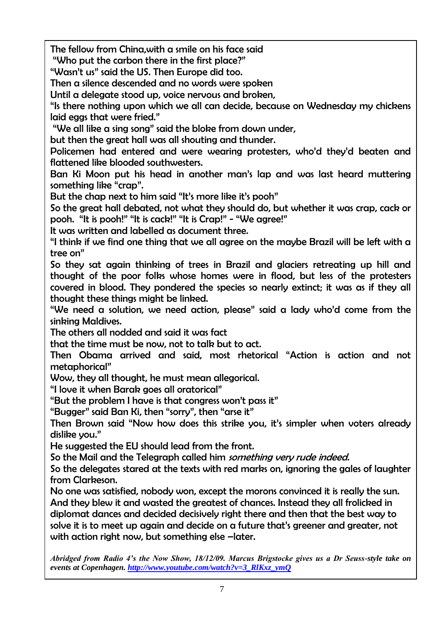The fellow from China,with a smile on his face said

"Who put the carbon there in the first place?"

"Wasn't us" said the US. Then Europe did too.

Then a silence descended and no words were spoken

Until a delegate stood up, voice nervous and broken,

"Is there nothing upon which we all can decide, because on Wednesday my chickens laid eggs that were fried."

"We all like a sing song" said the bloke from down under,

but then the great hall was all shouting and thunder.

Policemen had entered and were wearing protesters, who'd they'd beaten and flattened like blooded southwesters.

Ban Ki Moon put his head in another man's lap and was last heard muttering something like "crap".

But the chap next to him said "It's more like it's pooh"

So the great hall debated, not what they should do, but whether it was crap, cack or pooh. "It is pooh!" "It is cack!" "It is Crap!" - "We agree!"

It was written and labelled as document three.

"I think if we find one thing that we all agree on the maybe Brazil will be left with a tree on"

So they sat again thinking of trees in Brazil and glaciers retreating up hill and thought of the poor folks whose homes were in flood, but less of the protesters covered in blood. They pondered the species so nearly extinct; it was as if they all thought these things might be linked.

"We need a solution, we need action, please" said a lady who'd come from the sinking Maldives.

The others all nodded and said it was fact

that the time must be now, not to talk but to act.

Then Obama arrived and said, most rhetorical "Action is action and not metaphorical"

Wow, they all thought, he must mean allegorical.

"I love it when Barak goes all oratorical"

"But the problem I have is that congress won't pass it"

"Bugger" said Ban Ki, then "sorry", then "arse it"

Then Brown said "Now how does this strike you, it's simpler when voters already dislike you."

He suggested the EU should lead from the front.

So the Mail and the Telegraph called him something very rude indeed.

So the delegates stared at the texts with red marks on, ignoring the gales of laughter from Clarkeson.

No one was satisfied, nobody won, except the morons convinced it is really the sun. And they blew it and wasted the greatest of chances. Instead they all frolicked in diplomat dances and decided decisively right there and then that the best way to solve it is to meet up again and decide on a future that's greener and greater, not with action right now, but something else -later.

*Abridged from Radio 4's the Now Show, 18/12/09. Marcus Brigstocke gives us a Dr Seuss-style take on events at Copenhagen. [http://www.youtube.com/watch?v=3\\_RlKxz\\_ymQ](http://www.youtube.com/watch?v=3_RlKxz_ymQ)*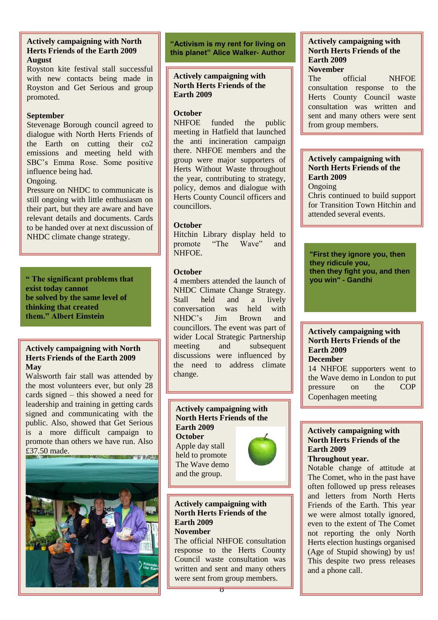#### **Actively campaigning with North Herts Friends of the Earth 2009 August**

Royston kite festival stall successful with new contacts being made in Royston and Get Serious and group promoted.

#### **September**

Stevenage Borough council agreed to dialogue with North Herts Friends of the Earth on cutting their co2 emissions and meeting held with SBC's Emma Rose. Some positive influence being had.

Ongoing.

Pressure on NHDC to communicate is still ongoing with little enthusiasm on their part, but they are aware and have relevant details and documents. Cards to be handed over at next discussion of NHDC climate change strategy.

**" The significant problems that exist today cannot be solved by the same level of thinking that created them." Albert Einstein**

#### **Actively campaigning with North Herts Friends of the Earth 2009 May**

Walsworth fair stall was attended by the most volunteers ever, but only 28 cards signed – this showed a need for leadership and training in getting cards signed and communicating with the public. Also, showed that Get Serious is a more difficult campaign to promote than others we have run. Also £37.50 made.



**"Activism is my rent for living on this planet" Alice Walker- Author**

#### **Actively campaigning with North Herts Friends of the Earth 2009**

#### **October**

NHFOE funded the public meeting in Hatfield that launched the anti incineration campaign there. NHFOE members and the group were major supporters of Herts Without Waste throughout the year, contributing to strategy, policy, demos and dialogue with Herts County Council officers and councillors.

#### **October**

Hitchin Library display held to promote "The Wave" and NHFOE.

# **October**

4 members attended the launch of NHDC Climate Change Strategy. Stall held and a lively conversation was held with NHDC's Jim Brown and councillors. The event was part of wider Local Strategic Partnership meeting and subsequent discussions were influenced by the need to address climate change.

#### **Actively campaigning with North Herts Friends of the Earth 2009 October**

Apple day stall held to promote The Wave demo and the group.



#### **Actively campaigning with North Herts Friends of the Earth 2009 November**

The official NHFOE consultation response to the Herts County Council waste consultation was written and sent and many others were sent from group members.

#### **Actively campaigning with North Herts Friends of the Earth 2009 November**

The official NHFOE consultation response to the Herts County Council waste consultation was written and sent and many others were sent from group members.

#### **Actively campaigning with North Herts Friends of the Earth 2009** Ongoing

Chris continued to build support for Transition Town Hitchin and attended several events.

**"First they ignore you, then they ridicule you, then they fight you, and then you win" - Gandhi**

# **Actively campaigning with North Herts Friends of the Earth 2009**

# **December**

14 NHFOE supporters went to the Wave demo in London to put pressure on the COP Copenhagen meeting

# **Actively campaigning with North Herts Friends of the Earth 2009**

# **Throughout year.**

Notable change of attitude at The Comet, who in the past have often followed up press releases and letters from North Herts Friends of the Earth. This year we were almost totally ignored, even to the extent of The Comet not reporting the only North Herts election hustings organised (Age of Stupid showing) by us! This despite two press releases and a phone call.